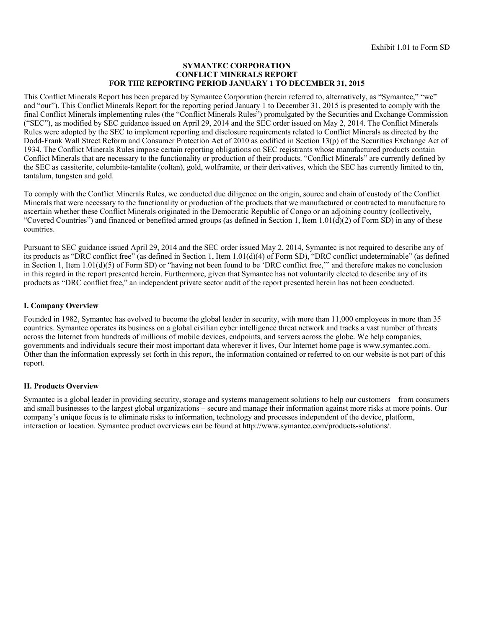#### **SYMANTEC CORPORATION CONFLICT MINERALS REPORT FOR THE REPORTING PERIOD JANUARY 1 TO DECEMBER 31, 2015**

This Conflict Minerals Report has been prepared by Symantec Corporation (herein referred to, alternatively, as "Symantec," "we" and "our"). This Conflict Minerals Report for the reporting period January 1 to December 31, 2015 is presented to comply with the final Conflict Minerals implementing rules (the "Conflict Minerals Rules") promulgated by the Securities and Exchange Commission ("SEC"), as modified by SEC guidance issued on April 29, 2014 and the SEC order issued on May 2, 2014. The Conflict Minerals Rules were adopted by the SEC to implement reporting and disclosure requirements related to Conflict Minerals as directed by the Dodd-Frank Wall Street Reform and Consumer Protection Act of 2010 as codified in Section 13(p) of the Securities Exchange Act of 1934. The Conflict Minerals Rules impose certain reporting obligations on SEC registrants whose manufactured products contain Conflict Minerals that are necessary to the functionality or production of their products. "Conflict Minerals" are currently defined by the SEC as cassiterite, columbite-tantalite (coltan), gold, wolframite, or their derivatives, which the SEC has currently limited to tin, tantalum, tungsten and gold.

To comply with the Conflict Minerals Rules, we conducted due diligence on the origin, source and chain of custody of the Conflict Minerals that were necessary to the functionality or production of the products that we manufactured or contracted to manufacture to ascertain whether these Conflict Minerals originated in the Democratic Republic of Congo or an adjoining country (collectively, "Covered Countries") and financed or benefited armed groups (as defined in Section 1, Item  $1.01(d)(2)$  of Form SD) in any of these countries.

Pursuant to SEC guidance issued April 29, 2014 and the SEC order issued May 2, 2014, Symantec is not required to describe any of its products as "DRC conflict free" (as defined in Section 1, Item 1.01(d)(4) of Form SD), "DRC conflict undeterminable" (as defined in Section 1, Item 1.01(d)(5) of Form SD) or "having not been found to be 'DRC conflict free,'" and therefore makes no conclusion in this regard in the report presented herein. Furthermore, given that Symantec has not voluntarily elected to describe any of its products as "DRC conflict free," an independent private sector audit of the report presented herein has not been conducted.

# **I. Company Overview**

Founded in 1982, Symantec has evolved to become the global leader in security, with more than 11,000 employees in more than 35 countries. Symantec operates its business on a global civilian cyber intelligence threat network and tracks a vast number of threats across the Internet from hundreds of millions of mobile devices, endpoints, and servers across the globe. We help companies, governments and individuals secure their most important data wherever it lives, Our Internet home page is www.symantec.com. Other than the information expressly set forth in this report, the information contained or referred to on our website is not part of this report.

# **II. Products Overview**

Symantec is a global leader in providing security, storage and systems management solutions to help our customers – from consumers and small businesses to the largest global organizations – secure and manage their information against more risks at more points. Our company's unique focus is to eliminate risks to information, technology and processes independent of the device, platform, interaction or location. Symantec product overviews can be found at http://www.symantec.com/products-solutions/.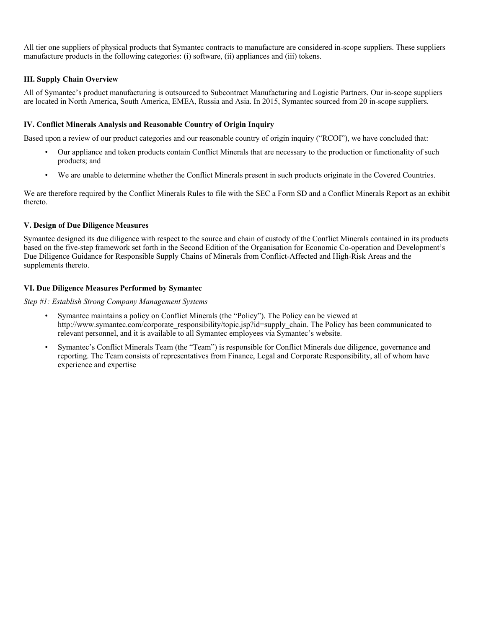All tier one suppliers of physical products that Symantec contracts to manufacture are considered in-scope suppliers. These suppliers manufacture products in the following categories: (i) software, (ii) appliances and (iii) tokens.

# **III. Supply Chain Overview**

All of Symantec's product manufacturing is outsourced to Subcontract Manufacturing and Logistic Partners. Our in-scope suppliers are located in North America, South America, EMEA, Russia and Asia. In 2015, Symantec sourced from 20 in-scope suppliers.

# **IV. Conflict Minerals Analysis and Reasonable Country of Origin Inquiry**

Based upon a review of our product categories and our reasonable country of origin inquiry ("RCOI"), we have concluded that:

- Our appliance and token products contain Conflict Minerals that are necessary to the production or functionality of such products; and
- We are unable to determine whether the Conflict Minerals present in such products originate in the Covered Countries.

We are therefore required by the Conflict Minerals Rules to file with the SEC a Form SD and a Conflict Minerals Report as an exhibit thereto.

# **V. Design of Due Diligence Measures**

Symantec designed its due diligence with respect to the source and chain of custody of the Conflict Minerals contained in its products based on the five-step framework set forth in the Second Edition of the Organisation for Economic Co-operation and Development's Due Diligence Guidance for Responsible Supply Chains of Minerals from Conflict-Affected and High-Risk Areas and the supplements thereto.

# **VI. Due Diligence Measures Performed by Symantec**

*Step #1: Establish Strong Company Management Systems* 

- Symantec maintains a policy on Conflict Minerals (the "Policy"). The Policy can be viewed at http://www.symantec.com/corporate\_responsibility/topic.jsp?id=supply\_chain. The Policy has been communicated to relevant personnel, and it is available to all Symantec employees via Symantec's website.
- Symantec's Conflict Minerals Team (the "Team") is responsible for Conflict Minerals due diligence, governance and reporting. The Team consists of representatives from Finance, Legal and Corporate Responsibility, all of whom have experience and expertise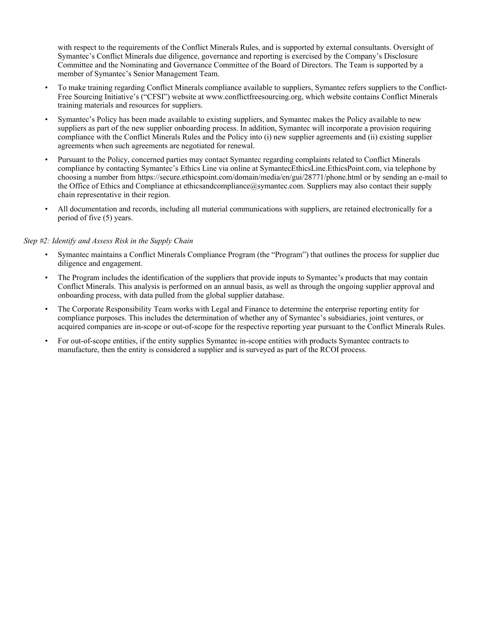with respect to the requirements of the Conflict Minerals Rules, and is supported by external consultants. Oversight of Symantec's Conflict Minerals due diligence, governance and reporting is exercised by the Company's Disclosure Committee and the Nominating and Governance Committee of the Board of Directors. The Team is supported by a member of Symantec's Senior Management Team.

- To make training regarding Conflict Minerals compliance available to suppliers, Symantec refers suppliers to the Conflict-Free Sourcing Initiative's ("CFSI") website at www.conflictfreesourcing.org, which website contains Conflict Minerals training materials and resources for suppliers.
- Symantec's Policy has been made available to existing suppliers, and Symantec makes the Policy available to new suppliers as part of the new supplier onboarding process. In addition, Symantec will incorporate a provision requiring compliance with the Conflict Minerals Rules and the Policy into (i) new supplier agreements and (ii) existing supplier agreements when such agreements are negotiated for renewal.
- Pursuant to the Policy, concerned parties may contact Symantec regarding complaints related to Conflict Minerals compliance by contacting Symantec's Ethics Line via online at SymantecEthicsLine.EthicsPoint.com, via telephone by choosing a number from https://secure.ethicspoint.com/domain/media/en/gui/28771/phone.html or by sending an e-mail to the Office of Ethics and Compliance at ethicsandcompliance@symantec.com. Suppliers may also contact their supply chain representative in their region.
- All documentation and records, including all material communications with suppliers, are retained electronically for a period of five (5) years.

## *Step #2: Identify and Assess Risk in the Supply Chain*

- Symantec maintains a Conflict Minerals Compliance Program (the "Program") that outlines the process for supplier due diligence and engagement.
- The Program includes the identification of the suppliers that provide inputs to Symantec's products that may contain Conflict Minerals. This analysis is performed on an annual basis, as well as through the ongoing supplier approval and onboarding process, with data pulled from the global supplier database.
- The Corporate Responsibility Team works with Legal and Finance to determine the enterprise reporting entity for compliance purposes. This includes the determination of whether any of Symantec's subsidiaries, joint ventures, or acquired companies are in-scope or out-of-scope for the respective reporting year pursuant to the Conflict Minerals Rules.
- For out-of-scope entities, if the entity supplies Symantec in-scope entities with products Symantec contracts to manufacture, then the entity is considered a supplier and is surveyed as part of the RCOI process.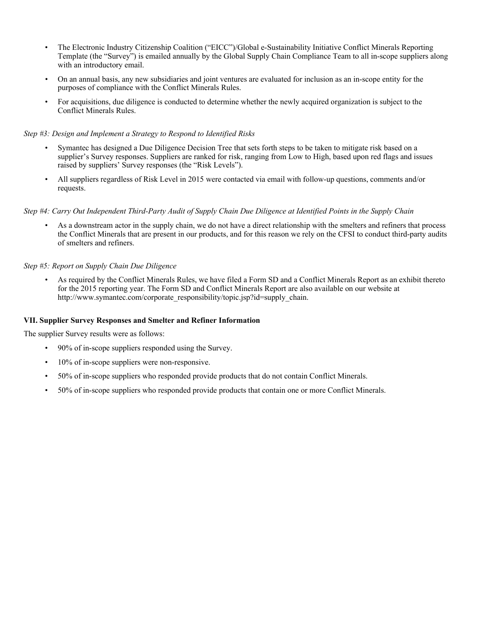- The Electronic Industry Citizenship Coalition ("EICC")/Global e-Sustainability Initiative Conflict Minerals Reporting Template (the "Survey") is emailed annually by the Global Supply Chain Compliance Team to all in-scope suppliers along with an introductory email.
- On an annual basis, any new subsidiaries and joint ventures are evaluated for inclusion as an in-scope entity for the purposes of compliance with the Conflict Minerals Rules.
- For acquisitions, due diligence is conducted to determine whether the newly acquired organization is subject to the Conflict Minerals Rules.

# *Step #3: Design and Implement a Strategy to Respond to Identified Risks*

- Symantec has designed a Due Diligence Decision Tree that sets forth steps to be taken to mitigate risk based on a supplier's Survey responses. Suppliers are ranked for risk, ranging from Low to High, based upon red flags and issues raised by suppliers' Survey responses (the "Risk Levels").
- All suppliers regardless of Risk Level in 2015 were contacted via email with follow-up questions, comments and/or requests.

## *Step #4: Carry Out Independent Third-Party Audit of Supply Chain Due Diligence at Identified Points in the Supply Chain*

• As a downstream actor in the supply chain, we do not have a direct relationship with the smelters and refiners that process the Conflict Minerals that are present in our products, and for this reason we rely on the CFSI to conduct third-party audits of smelters and refiners.

# *Step #5: Report on Supply Chain Due Diligence*

• As required by the Conflict Minerals Rules, we have filed a Form SD and a Conflict Minerals Report as an exhibit thereto for the 2015 reporting year. The Form SD and Conflict Minerals Report are also available on our website at http://www.symantec.com/corporate\_responsibility/topic.jsp?id=supply\_chain.

#### **VII. Supplier Survey Responses and Smelter and Refiner Information**

The supplier Survey results were as follows:

- 90% of in-scope suppliers responded using the Survey.
- $\cdot$  10% of in-scope suppliers were non-responsive.
- 50% of in-scope suppliers who responded provide products that do not contain Conflict Minerals.
- 50% of in-scope suppliers who responded provide products that contain one or more Conflict Minerals.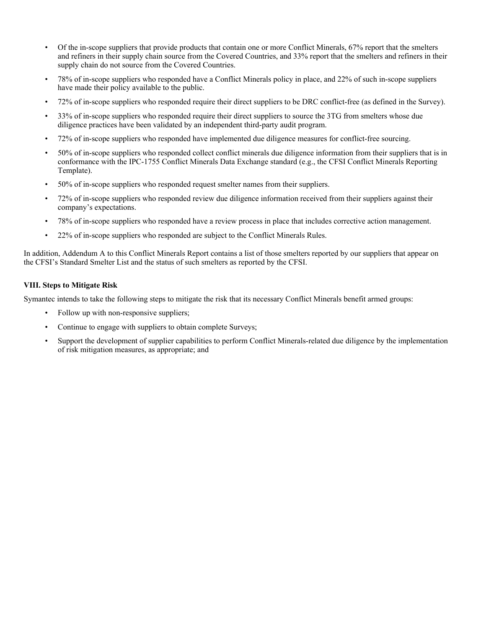- Of the in-scope suppliers that provide products that contain one or more Conflict Minerals, 67% report that the smelters and refiners in their supply chain source from the Covered Countries, and 33% report that the smelters and refiners in their supply chain do not source from the Covered Countries.
- 78% of in-scope suppliers who responded have a Conflict Minerals policy in place, and 22% of such in-scope suppliers have made their policy available to the public.
- 72% of in-scope suppliers who responded require their direct suppliers to be DRC conflict-free (as defined in the Survey).
- 33% of in-scope suppliers who responded require their direct suppliers to source the 3TG from smelters whose due diligence practices have been validated by an independent third-party audit program.
- 72% of in-scope suppliers who responded have implemented due diligence measures for conflict-free sourcing.
- 50% of in-scope suppliers who responded collect conflict minerals due diligence information from their suppliers that is in conformance with the IPC-1755 Conflict Minerals Data Exchange standard (e.g., the CFSI Conflict Minerals Reporting Template).
- 50% of in-scope suppliers who responded request smelter names from their suppliers.
- 72% of in-scope suppliers who responded review due diligence information received from their suppliers against their company's expectations.
- 78% of in-scope suppliers who responded have a review process in place that includes corrective action management.
- 22% of in-scope suppliers who responded are subject to the Conflict Minerals Rules.

In addition, Addendum A to this Conflict Minerals Report contains a list of those smelters reported by our suppliers that appear on the CFSI's Standard Smelter List and the status of such smelters as reported by the CFSI.

## **VIII. Steps to Mitigate Risk**

Symantec intends to take the following steps to mitigate the risk that its necessary Conflict Minerals benefit armed groups:

- Follow up with non-responsive suppliers;
- Continue to engage with suppliers to obtain complete Surveys;
- Support the development of supplier capabilities to perform Conflict Minerals-related due diligence by the implementation of risk mitigation measures, as appropriate; and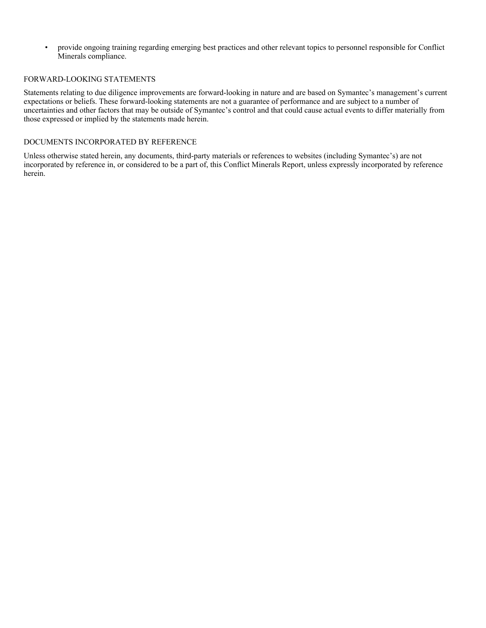• provide ongoing training regarding emerging best practices and other relevant topics to personnel responsible for Conflict Minerals compliance.

## FORWARD-LOOKING STATEMENTS

Statements relating to due diligence improvements are forward-looking in nature and are based on Symantec's management's current expectations or beliefs. These forward-looking statements are not a guarantee of performance and are subject to a number of uncertainties and other factors that may be outside of Symantec's control and that could cause actual events to differ materially from those expressed or implied by the statements made herein.

## DOCUMENTS INCORPORATED BY REFERENCE

Unless otherwise stated herein, any documents, third-party materials or references to websites (including Symantec's) are not incorporated by reference in, or considered to be a part of, this Conflict Minerals Report, unless expressly incorporated by reference herein.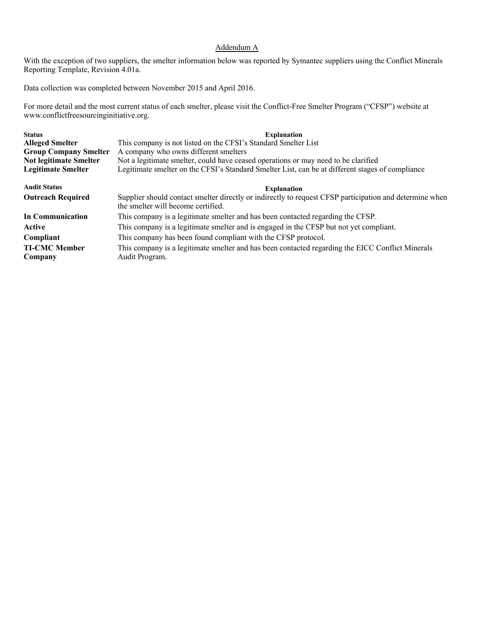# Addendum A

With the exception of two suppliers, the smelter information below was reported by Symantec suppliers using the Conflict Minerals Reporting Template, Revision 4.01a.

Data collection was completed between November 2015 and April 2016.

For more detail and the most current status of each smelter, please visit the Conflict-Free Smelter Program ("CFSP") website at www.conflictfreesourcinginitiative.org.

| <b>Status</b><br><b>Alleged Smelter</b><br><b>Group Company Smelter</b><br><b>Not legitimate Smelter</b><br><b>Legitimate Smelter</b> | <b>Explanation</b><br>This company is not listed on the CFSI's Standard Smelter List<br>A company who owns different smelters<br>Not a legitimate smelter, could have ceased operations or may need to be clarified<br>Legitimate smelter on the CFSI's Standard Smelter List, can be at different stages of compliance |
|---------------------------------------------------------------------------------------------------------------------------------------|-------------------------------------------------------------------------------------------------------------------------------------------------------------------------------------------------------------------------------------------------------------------------------------------------------------------------|
| <b>Audit Status</b>                                                                                                                   | <b>Explanation</b>                                                                                                                                                                                                                                                                                                      |
| <b>Outreach Required</b>                                                                                                              | Supplier should contact smelter directly or indirectly to request CFSP participation and determine when<br>the smelter will become certified.                                                                                                                                                                           |
| In Communication                                                                                                                      | This company is a legitimate smelter and has been contacted regarding the CFSP.                                                                                                                                                                                                                                         |
| Active                                                                                                                                | This company is a legitimate smelter and is engaged in the CFSP but not yet compliant.                                                                                                                                                                                                                                  |
| Compliant                                                                                                                             | This company has been found compliant with the CFSP protocol.                                                                                                                                                                                                                                                           |
| <b>TI-CMC Member</b><br>Company                                                                                                       | This company is a legitimate smelter and has been contacted regarding the EICC Conflict Minerals<br>Audit Program.                                                                                                                                                                                                      |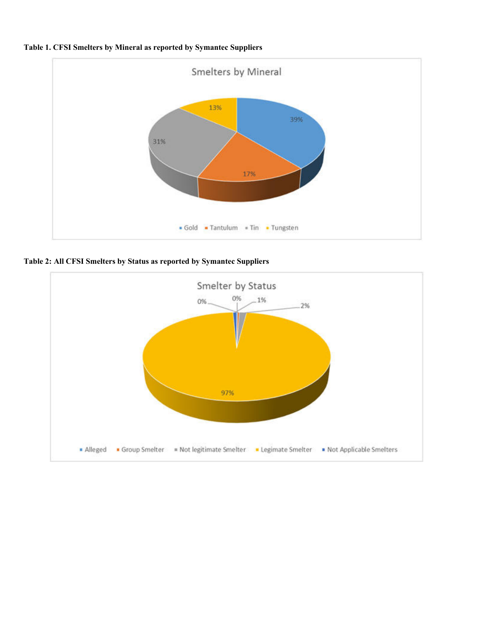



**Table 2: All CFSI Smelters by Status as reported by Symantec Suppliers** 

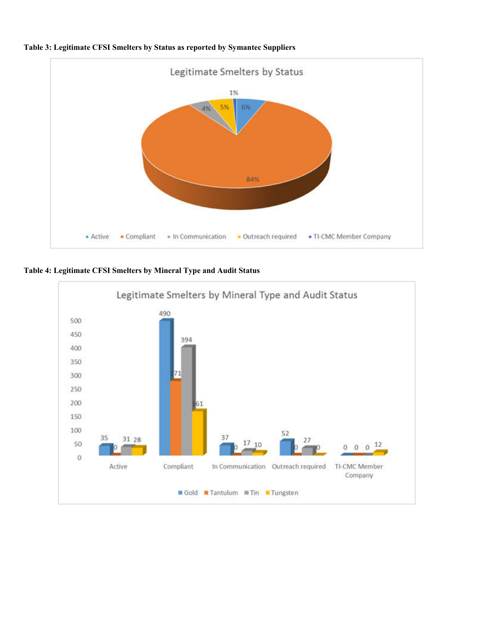

**Table 3: Legitimate CFSI Smelters by Status as reported by Symantec Suppliers** 

**Table 4: Legitimate CFSI Smelters by Mineral Type and Audit Status** 

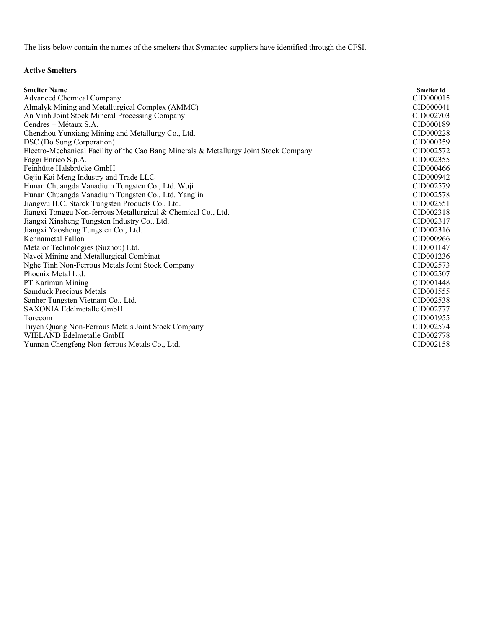The lists below contain the names of the smelters that Symantec suppliers have identified through the CFSI.

# **Active Smelters**

| <b>Smelter Name</b>                                                                   | <b>Smelter Id</b> |
|---------------------------------------------------------------------------------------|-------------------|
| <b>Advanced Chemical Company</b>                                                      | CID000015         |
| Almalyk Mining and Metallurgical Complex (AMMC)                                       | CID000041         |
| An Vinh Joint Stock Mineral Processing Company                                        | CID002703         |
| Cendres + Métaux S.A.                                                                 | CID000189         |
| Chenzhou Yunxiang Mining and Metallurgy Co., Ltd.                                     | CID000228         |
| DSC (Do Sung Corporation)                                                             | CID000359         |
| Electro-Mechanical Facility of the Cao Bang Minerals & Metallurgy Joint Stock Company | CID002572         |
| Faggi Enrico S.p.A.                                                                   | CID002355         |
| Feinhütte Halsbrücke GmbH                                                             | CID000466         |
| Gejiu Kai Meng Industry and Trade LLC                                                 | CID000942         |
| Hunan Chuangda Vanadium Tungsten Co., Ltd. Wuji                                       | CID002579         |
| Hunan Chuangda Vanadium Tungsten Co., Ltd. Yanglin                                    | CID002578         |
| Jiangwu H.C. Starck Tungsten Products Co., Ltd.                                       | CID002551         |
| Jiangxi Tonggu Non-ferrous Metallurgical & Chemical Co., Ltd.                         | CID002318         |
| Jiangxi Xinsheng Tungsten Industry Co., Ltd.                                          | CID002317         |
| Jiangxi Yaosheng Tungsten Co., Ltd.                                                   | CID002316         |
| Kennametal Fallon                                                                     | CID000966         |
| Metalor Technologies (Suzhou) Ltd.                                                    | CID001147         |
| Navoi Mining and Metallurgical Combinat                                               | CID001236         |
| Nghe Tinh Non-Ferrous Metals Joint Stock Company                                      | CID002573         |
| Phoenix Metal Ltd.                                                                    | CID002507         |
| PT Karimun Mining                                                                     | CID001448         |
| <b>Samduck Precious Metals</b>                                                        | CID001555         |
| Sanher Tungsten Vietnam Co., Ltd.                                                     | CID002538         |
| SAXONIA Edelmetalle GmbH                                                              | CID002777         |
| Torecom                                                                               | CID001955         |
| Tuyen Quang Non-Ferrous Metals Joint Stock Company                                    | CID002574         |
| WIELAND Edelmetalle GmbH                                                              | CID002778         |
| Yunnan Chengfeng Non-ferrous Metals Co., Ltd.                                         | CID002158         |
|                                                                                       |                   |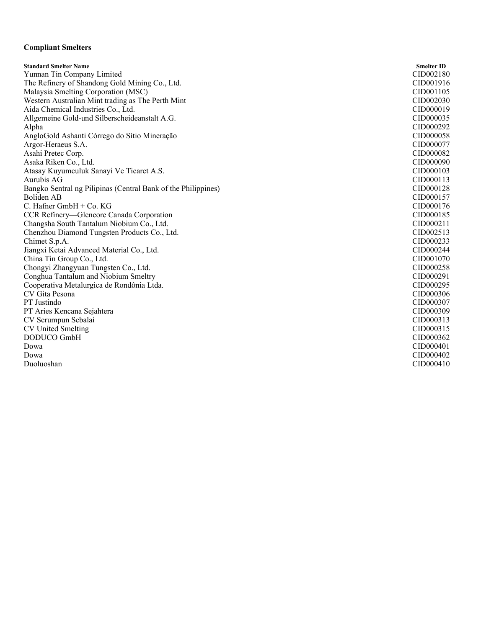## **Compliant Smelters**

**Standard Smelter Name Smelter ID** Yunnan Tin Company Limited CID002180<br>
The Refinery of Shandong Gold Mining Co., Ltd. CID001916 The Refinery of Shandong Gold Mining Co., Ltd. Malaysia Smelting Corporation (MSC) CID001105 Western Australian Mint trading as The Perth Mint CID002030<br>Aida Chemical Industries Co., Ltd. CID000019 Aida Chemical Industries Co., Ltd. CID000019<br>Allgemeine Gold-und Silberscheideanstalt A.G. CID000035 Allgemeine Gold-und Silberscheideanstalt A.G. Alpha CID000292 AngloGold Ashanti Córrego do Sítio Mineração CID000058 Argor-Heraeus S.A. CID000077<br>Asahi Pretec Corp. COM Asahi Pretec Corp. Asaka Riken Co., Ltd. CID000090 Atasay Kuyumculuk Sanayi Ve Ticaret A.S. CID000103 Aurubis AG CID000113 Bangko Sentral ng Pilipinas (Central Bank of the Philippines) CID000128 Boliden AB CID000157  $C.$  Hafner GmbH + Co. KG CID000176 CCR Refinery—Glencore Canada Corporation CID000185 Changsha South Tantalum Niobium Co., Ltd. CID000211 Chenzhou Diamond Tungsten Products Co., Ltd. CID002513 Chimet S.p.A. CID000233 Jiangxi Ketai Advanced Material Co., Ltd. CID000244 China Tin Group Co., Ltd. Chongyi Zhangyuan Tungsten Co., Ltd. CID000258 Conghua Tantalum and Niobium Smeltry CID000291 Cooperativa Metalurgica de Rondônia Ltda. CID000295 CV Gita Pesona CID000306 PT Justindo CID000307 PT Aries Kencana Sejahtera CID000309 CV Serumpun Sebalai CID000313 CV United Smelting CID000315 DODUCO GmbH CID000362 Dowa CID000401 Dowa CID000402 Duoluoshan CID000410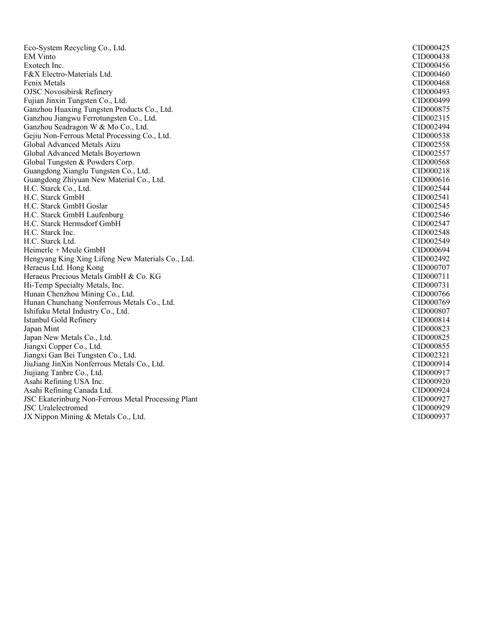Eco-System Recycling Co., Ltd. CID000425 EM Vinto CID000438 Exotech Inc. CID000456 F&X Electro-Materials Ltd. CID000460 Fenix Metals CID000468 OJSC Novosibirsk Refinery CID000493 Fujian Jinxin Tungsten Co., Ltd. (Electronic Co., Ltd. 2012)<br>Ganzhou Huaxing Tungsten Products Co., Ltd. (Electronic Co., CID000875) Ganzhou Huaxing Tungsten Products Co., Ltd. (Ganzhou Huaxing Tungsten Products Co., Ltd. (CID000875)<br>Ganzhou Jiangwu Ferrotungsten Co., Ltd. (CID002315) Ganzhou Jiangwu Ferrotungsten Co., Ltd. Ganzhou Seadragon W & Mo Co., Ltd. CID002494 Gejiu Non-Ferrous Metal Processing Co., Ltd. CID000538 Global Advanced Metals Aizu CID002558 Global Advanced Metals Boyertown Global Tungsten & Powders Corp. CID000568 Guangdong Xianglu Tungsten Co., Ltd. CID000218 Guangdong Zhiyuan New Material Co., Ltd. CID000616 H.C. Starck Co., Ltd. CID002544 H.C. Starck GmbH CID002541 H.C. Starck GmbH Goslar CID002545 H.C. Starck GmbH Laufenburg CID002546 H.C. Starck Hermsdorf GmbH CID002547 H.C. Starck Inc. CID002548 H.C. Starck Ltd. CID002549 Heimerle + Meule GmbH<br>
Hengyang King Xing Lifeng New Materials Co., Ltd.<br>
CID002492 Hengyang King Xing Lifeng New Materials Co., Ltd. Heraeus Ltd. Hong Kong CID000707 Heraeus Precious Metals GmbH & Co. KG CIDOOT 11 Hi-Temp Specialty Metals, Inc. (2000) 231 CID000731 CID000731 CID000731 CID000731 CID000731 CID000746 Hunan Chenzhou Mining Co., Ltd. (2000) 2012 12:30 12:30 12:30 12:30 12:30 12:30 12:30 12:30 12:30 12:30 12:30<br>Hunan Chunchang Nonferrous Metals Co., Ltd. (2000) 20:30 12:30 12:30 12:30 12:30 12:30 12:30 12:30 12:30 12:30 Hunan Chunchang Nonferrous Metals Co., Ltd. Ishifuku Metal Industry Co., Ltd. CID000807 Istanbul Gold Refinery CID000814 Japan Mint CID000823 Japan New Metals Co., Ltd. CID000825 Jiangxi Copper Co., Ltd. CID000855 Jiangxi Gan Bei Tungsten Co., Ltd. CID002321 JiuJiang JinXin Nonferrous Metals Co., Ltd. CID000914 Jiujiang Tanbre Co., Ltd. CID000917 Asahi Refining USA Inc. CID000920 Asahi Refining Canada Ltd. CID000924 JSC Ekaterinburg Non-Ferrous Metal Processing Plant CID000927 JSC Uralelectromed CID000929 JX Nippon Mining & Metals Co., Ltd. CID000937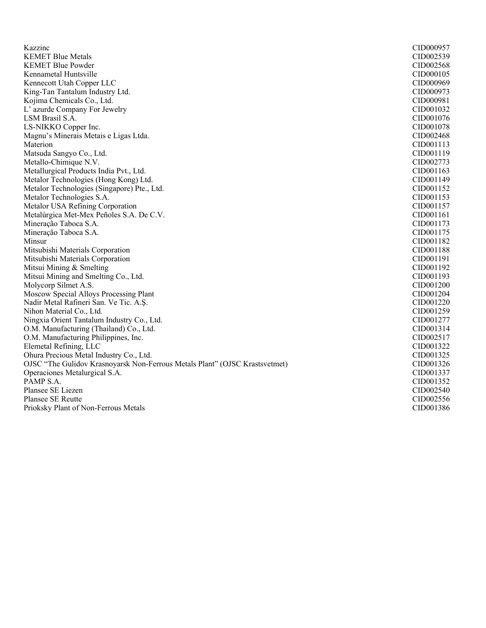| Kazzinc                                                                     | CID000957 |
|-----------------------------------------------------------------------------|-----------|
| <b>KEMET Blue Metals</b>                                                    | CID002539 |
| <b>KEMET Blue Powder</b>                                                    | CID002568 |
| Kennametal Huntsville                                                       | CID000105 |
| Kennecott Utah Copper LLC                                                   | CID000969 |
| King-Tan Tantalum Industry Ltd.                                             | CID000973 |
| Kojima Chemicals Co., Ltd.                                                  | CID000981 |
| L'azurde Company For Jewelry                                                | CID001032 |
| LSM Brasil S.A.                                                             | CID001076 |
| LS-NIKKO Copper Inc.                                                        | CID001078 |
| Magnu's Minerais Metais e Ligas Ltda.                                       | CID002468 |
| Materion                                                                    | CID001113 |
| Matsuda Sangyo Co., Ltd.                                                    | CID001119 |
| Metallo-Chimique N.V.                                                       | CID002773 |
| Metallurgical Products India Pvt., Ltd.                                     | CID001163 |
| Metalor Technologies (Hong Kong) Ltd.                                       | CID001149 |
| Metalor Technologies (Singapore) Pte., Ltd.                                 | CID001152 |
| Metalor Technologies S.A.                                                   | CID001153 |
| Metalor USA Refining Corporation                                            | CID001157 |
| Metalúrgica Met-Mex Peñoles S.A. De C.V.                                    | CID001161 |
| Mineração Taboca S.A.                                                       | CID001173 |
| Mineração Taboca S.A.                                                       | CID001175 |
| Minsur                                                                      | CID001182 |
| Mitsubishi Materials Corporation                                            | CID001188 |
| Mitsubishi Materials Corporation                                            | CID001191 |
| Mitsui Mining & Smelting                                                    | CID001192 |
| Mitsui Mining and Smelting Co., Ltd.                                        | CID001193 |
| Molycorp Silmet A.S.                                                        | CID001200 |
| Moscow Special Alloys Processing Plant                                      | CID001204 |
| Nadir Metal Rafineri San. Ve Tic. A.Ş.                                      | CID001220 |
| Nihon Material Co., Ltd.                                                    | CID001259 |
| Ningxia Orient Tantalum Industry Co., Ltd.                                  | CID001277 |
| O.M. Manufacturing (Thailand) Co., Ltd.                                     | CID001314 |
| O.M. Manufacturing Philippines, Inc.                                        | CID002517 |
| Elemetal Refining, LLC                                                      | CID001322 |
| Ohura Precious Metal Industry Co., Ltd.                                     | CID001325 |
| OJSC "The Gulidov Krasnoyarsk Non-Ferrous Metals Plant" (OJSC Krastsvetmet) | CID001326 |
| Operaciones Metalurgical S.A.                                               | CID001337 |
| PAMP S.A.                                                                   | CID001352 |
| Plansee SE Liezen                                                           | CID002540 |
| <b>Plansee SE Reutte</b>                                                    | CID002556 |
| Prioksky Plant of Non-Ferrous Metals                                        | CID001386 |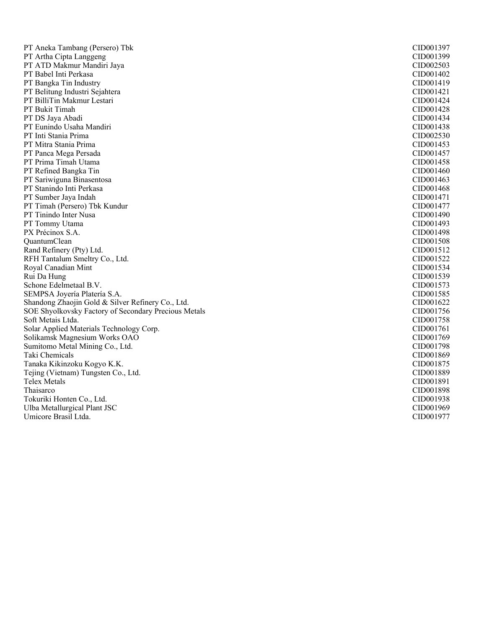| PT Aneka Tambang (Persero) Tbk                       | CID001397 |
|------------------------------------------------------|-----------|
| PT Artha Cipta Langgeng                              | CID001399 |
| PT ATD Makmur Mandiri Jaya                           | CID002503 |
| PT Babel Inti Perkasa                                | CID001402 |
| PT Bangka Tin Industry                               | CID001419 |
| PT Belitung Industri Sejahtera                       | CID001421 |
| PT BilliTin Makmur Lestari                           | CID001424 |
| PT Bukit Timah                                       | CID001428 |
| PT DS Jaya Abadi                                     | CID001434 |
| PT Eunindo Usaha Mandiri                             | CID001438 |
| PT Inti Stania Prima                                 | CID002530 |
| PT Mitra Stania Prima                                | CID001453 |
| PT Panca Mega Persada                                | CID001457 |
| PT Prima Timah Utama                                 | CID001458 |
| PT Refined Bangka Tin                                | CID001460 |
| PT Sariwiguna Binasentosa                            | CID001463 |
| PT Stanindo Inti Perkasa                             | CID001468 |
| PT Sumber Jaya Indah                                 | CID001471 |
| PT Timah (Persero) Tbk Kundur                        | CID001477 |
| PT Tinindo Inter Nusa                                | CID001490 |
| PT Tommy Utama                                       | CID001493 |
| PX Précinox S.A.                                     | CID001498 |
| QuantumClean                                         | CID001508 |
| Rand Refinery (Pty) Ltd.                             | CID001512 |
| RFH Tantalum Smeltry Co., Ltd.                       | CID001522 |
| Royal Canadian Mint                                  | CID001534 |
| Rui Da Hung                                          | CID001539 |
| Schone Edelmetaal B.V.                               | CID001573 |
| SEMPSA Joyería Platería S.A.                         | CID001585 |
| Shandong Zhaojin Gold & Silver Refinery Co., Ltd.    | CID001622 |
| SOE Shyolkovsky Factory of Secondary Precious Metals | CID001756 |
| Soft Metais Ltda.                                    | CID001758 |
| Solar Applied Materials Technology Corp.             | CID001761 |
| Solikamsk Magnesium Works OAO                        | CID001769 |
| Sumitomo Metal Mining Co., Ltd.                      | CID001798 |
| Taki Chemicals                                       | CID001869 |
| Tanaka Kikinzoku Kogyo K.K.                          | CID001875 |
| Tejing (Vietnam) Tungsten Co., Ltd.                  | CID001889 |
| <b>Telex Metals</b>                                  | CID001891 |
| Thaisarco                                            | CID001898 |
| Tokuriki Honten Co., Ltd.                            | CID001938 |
| Ulba Metallurgical Plant JSC                         | CID001969 |
| Umicore Brasil Ltda.                                 | CID001977 |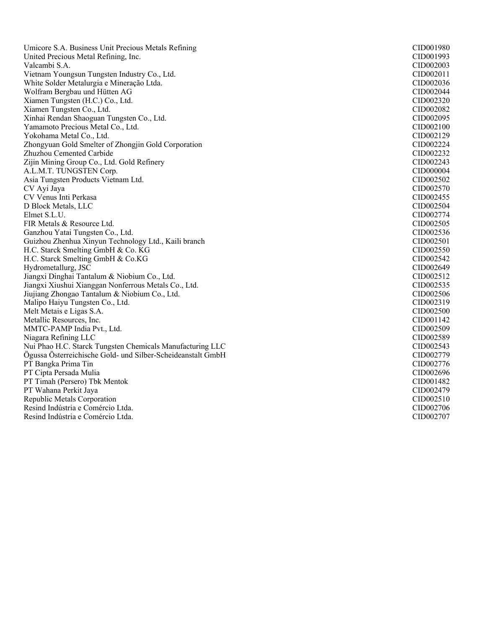Umicore S.A. Business Unit Precious Metals Refining CID001980 United Precious Metal Refining, Inc. CID001993 Valcambi S.A. CID002003 Vietnam Youngsun Tungsten Industry Co., Ltd. CID002011 White Solder Metalurgia e Mineração Ltda. CID002036 Wolfram Bergbau und Hütten AG CID002044 Xiamen Tungsten (H.C.) Co., Ltd. CID002320<br>Xiamen Tungsten Co., Ltd. CID002320 Xiamen Tungsten Co., Ltd. CID002082 Xinhai Rendan Shaoguan Tungsten Co., Ltd. Yamamoto Precious Metal Co., Ltd. CID002100 Yokohama Metal Co., Ltd. CID002129 Zhongyuan Gold Smelter of Zhongjin Gold Corporation CID002224 Zhuzhou Cemented Carbide Zijin Mining Group Co., Ltd. Gold Refinery CID002243 A.L.M.T. TUNGSTEN Corp. CID000004 Asia Tungsten Products Vietnam Ltd. CID002502 CV Ayi Jaya CID002570 CV Venus Inti Perkasa CID002455 D Block Metals, LLC CID002504<br>Elmet S.L.U. CID002774 Elmet S.L.U. CID002774 FIR Metals & Resource Ltd. CID002505 Ganzhou Yatai Tungsten Co., Ltd. CID002536 Guizhou Zhenhua Xinyun Technology Ltd., Kaili branch CID002501 H.C. Starck Smelting GmbH & Co. KG<br>
H.C. Starck Smelting GmbH & Co. KG<br>
CID002542 H.C. Starck Smelting GmbH  $& Co.KG$ Hydrometallurg, JSC CID002649 Jiangxi Dinghai Tantalum & Niobium Co., Ltd. CID002512 Jiangxi Xiushui Xianggan Nonferrous Metals Co., Ltd. CID002535 Jiujiang Zhongao Tantalum & Niobium Co., Ltd. CID002506 Malipo Haiyu Tungsten Co., Ltd. Melt Metais e Ligas S.A. CID002500 Metallic Resources, Inc. CID001142 MMTC-PAMP India Pvt., Ltd. CID002509 Niagara Refining LLC CID002589 Nui Phao H.C. Starck Tungsten Chemicals Manufacturing LLC CIDO02543 Ögussa Österreichische Gold- und Silber-Scheideanstalt GmbH CID002779 PT Bangka Prima Tin CID002776 PT Cipta Persada Mulia CID002696 PT Timah (Persero) Tbk Mentok CID001482 PT Wahana Perkit Jaya CID002479 Republic Metals Corporation CID002510 Resind Indústria e Comércio Ltda. CID002706 Resind Indústria e Comércio Ltda. CID002707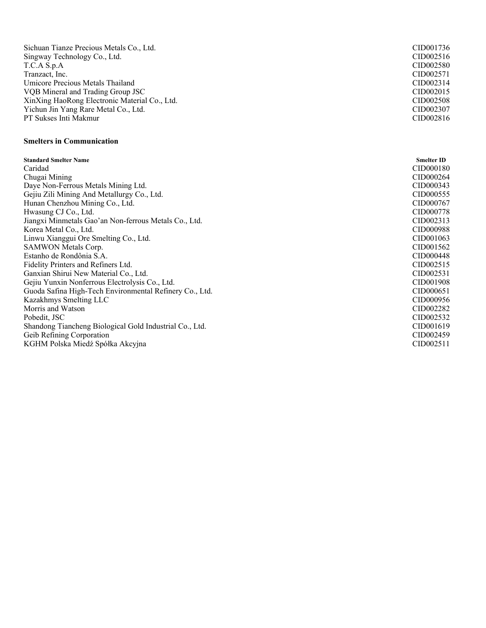| Sichuan Tianze Precious Metals Co., Ltd.                | CID001736         |
|---------------------------------------------------------|-------------------|
| Singway Technology Co., Ltd.                            | CID002516         |
| T.C.A S.p.A                                             | CID002580         |
| Tranzact, Inc.                                          | CID002571         |
| Umicore Precious Metals Thailand                        | CID002314         |
| VQB Mineral and Trading Group JSC                       | CID002015         |
| XinXing HaoRong Electronic Material Co., Ltd.           | CID002508         |
| Yichun Jin Yang Rare Metal Co., Ltd.                    | CID002307         |
| PT Sukses Inti Makmur                                   | CID002816         |
|                                                         |                   |
| <b>Smelters in Communication</b>                        |                   |
|                                                         |                   |
| <b>Standard Smelter Name</b>                            | <b>Smelter ID</b> |
| Caridad                                                 | CID000180         |
| Chugai Mining                                           | CID000264         |
| Daye Non-Ferrous Metals Mining Ltd.                     | CID000343         |
| Gejiu Zili Mining And Metallurgy Co., Ltd.              | CID000555         |
| Hunan Chenzhou Mining Co., Ltd.                         | CID000767         |
| Hwasung CJ Co., Ltd.                                    | CID000778         |
| Jiangxi Minmetals Gao'an Non-ferrous Metals Co., Ltd.   | CID002313         |
| Korea Metal Co., Ltd.                                   | CID000988         |
| Linwu Xianggui Ore Smelting Co., Ltd.                   | CID001063         |
| SAMWON Metals Corp.                                     | CID001562         |
| Estanho de Rondônia S.A.                                | CID000448         |
| Fidelity Printers and Refiners Ltd.                     | CID002515         |
| Ganxian Shirui New Material Co., Ltd.                   | CID002531         |
| Gejiu Yunxin Nonferrous Electrolysis Co., Ltd.          | CID001908         |
| Guoda Safina High-Tech Environmental Refinery Co., Ltd. | CID000651         |
| Kazakhmys Smelting LLC                                  | CID000956         |
| Morris and Watson                                       | CID002282         |
| Pobedit, JSC                                            | CID002532         |
| Shandong Tiancheng Biological Gold Industrial Co., Ltd. | CID001619         |
| Geib Refining Corporation                               | CID002459         |
| KGHM Polska Miedź Spółka Akcyjna                        | CID002511         |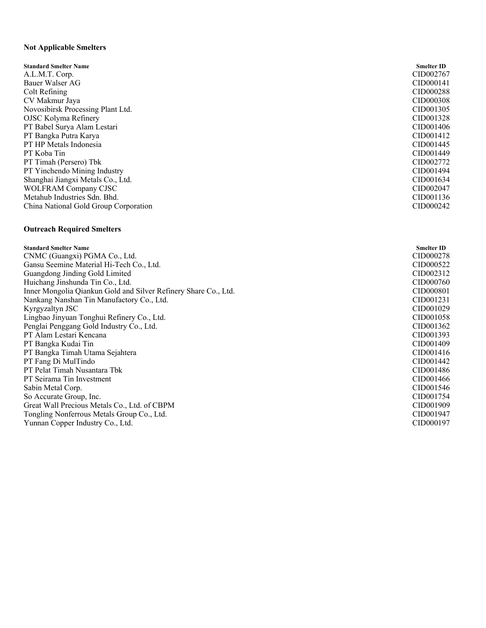# **Not Applicable Smelters**

| <b>Standard Smelter Name</b>          | <b>Smelter ID</b>     |
|---------------------------------------|-----------------------|
| A.L.M.T. Corp.                        | CID002767             |
| Bauer Walser AG                       | CID000141             |
| Colt Refining                         | CID000288             |
| CV Makmur Jaya                        | CID000308             |
| Novosibirsk Processing Plant Ltd.     | CID001305             |
| OJSC Kolyma Refinery                  | CID001328             |
| PT Babel Surya Alam Lestari           | CID001406             |
| PT Bangka Putra Karya                 | CID001412             |
| PT HP Metals Indonesia                | CID001445             |
| PT Koba Tin                           | CID001449             |
| PT Timah (Persero) Tbk                | CID002772             |
| PT Yinchendo Mining Industry          | CID <sub>001494</sub> |
| Shanghai Jiangxi Metals Co., Ltd.     | CID001634             |
| <b>WOLFRAM Company CJSC</b>           | CID002047             |
| Metahub Industries Sdn. Bhd.          | CID001136             |
| China National Gold Group Corporation | CID000242             |
|                                       |                       |

# **Outreach Required Smelters**

| <b>Standard Smelter Name</b>                                    | <b>Smelter ID</b>     |
|-----------------------------------------------------------------|-----------------------|
| CNMC (Guangxi) PGMA Co., Ltd.                                   | CID000278             |
| Gansu Seemine Material Hi-Tech Co., Ltd.                        | CID000522             |
| Guangdong Jinding Gold Limited                                  | CID <sub>002312</sub> |
| Huichang Jinshunda Tin Co., Ltd.                                | CID000760             |
| Inner Mongolia Qiankun Gold and Silver Refinery Share Co., Ltd. | CID000801             |
| Nankang Nanshan Tin Manufactory Co., Ltd.                       | CID001231             |
| Kyrgyzaltyn JSC                                                 | CID001029             |
| Lingbao Jinyuan Tonghui Refinery Co., Ltd.                      | CID001058             |
| Penglai Penggang Gold Industry Co., Ltd.                        | CID001362             |
| PT Alam Lestari Kencana                                         | CID001393             |
| PT Bangka Kudai Tin                                             | CID001409             |
| PT Bangka Timah Utama Sejahtera                                 | CID <sub>001416</sub> |
| PT Fang Di MulTindo                                             | CID001442             |
| PT Pelat Timah Nusantara Tbk                                    | CID001486             |
| PT Seirama Tin Investment                                       | CID001466             |
| Sabin Metal Corp.                                               | CID001546             |
| So Accurate Group, Inc.                                         | CID <sub>001754</sub> |
| Great Wall Precious Metals Co., Ltd. of CBPM                    | CID001909             |
| Tongling Nonferrous Metals Group Co., Ltd.                      | CID001947             |
| Yunnan Copper Industry Co., Ltd.                                | CID000197             |